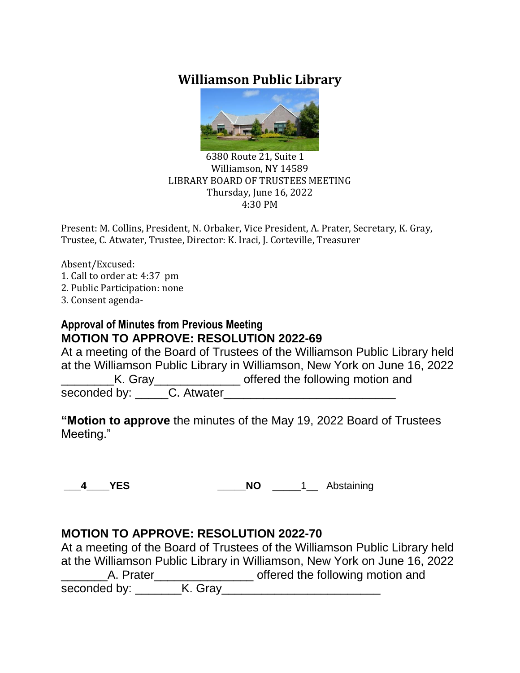# **Williamson Public Library**



#### 6380 Route 21, Suite 1 Williamson, NY 14589 LIBRARY BOARD OF TRUSTEES MEETING Thursday, June 16, 2022 4:30 PM

Present: M. Collins, President, N. Orbaker, Vice President, A. Prater, Secretary, K. Gray, Trustee, C. Atwater, Trustee, Director: K. Iraci, J. Corteville, Treasurer

Absent/Excused: 1. Call to order at: 4:37 pm 2. Public Participation: none 3. Consent agenda-

### **Approval of Minutes from Previous Meeting MOTION TO APPROVE: RESOLUTION 2022-69**

At a meeting of the Board of Trustees of the Williamson Public Library held at the Williamson Public Library in Williamson, New York on June 16, 2022 K. Gray\_\_\_\_\_\_\_\_\_\_\_\_\_\_\_\_\_ offered the following motion and seconded by: C. Atwater

**"Motion to approve** the minutes of the May 19, 2022 Board of Trustees Meeting."

**\_\_\_4\_\_\_\_YES \_\_\_\_\_NO** \_\_\_\_\_1\_\_ Abstaining

### **MOTION TO APPROVE: RESOLUTION 2022-70**

At a meeting of the Board of Trustees of the Williamson Public Library held at the Williamson Public Library in Williamson, New York on June 16, 2022 Lacker and the following motion and settle following motion and seconded by: \_\_\_\_\_\_\_K. Gray\_\_\_\_\_\_\_\_\_\_\_\_\_\_\_\_\_\_\_\_\_\_\_\_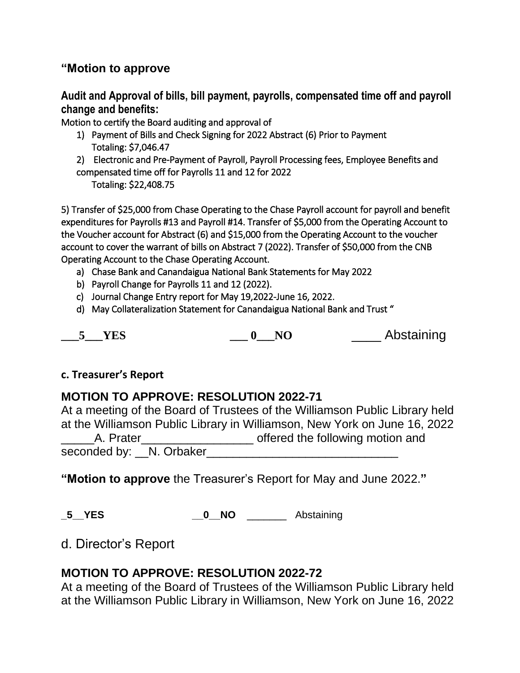### **"Motion to approve**

**Audit and Approval of bills, bill payment, payrolls, compensated time off and payroll change and benefits:**

Motion to certify the Board auditing and approval of

- 1) Payment of Bills and Check Signing for 2022 Abstract (6) Prior to Payment Totaling: \$7,046.47
- 2) Electronic and Pre-Payment of Payroll, Payroll Processing fees, Employee Benefits and compensated time off for Payrolls 11 and 12 for 2022

Totaling: \$22,408.75

5) Transfer of \$25,000 from Chase Operating to the Chase Payroll account for payroll and benefit expenditures for Payrolls #13 and Payroll #14. Transfer of \$5,000 from the Operating Account to the Voucher account for Abstract (6) and \$15,000 from the Operating Account to the voucher account to cover the warrant of bills on Abstract 7 (2022). Transfer of \$50,000 from the CNB Operating Account to the Chase Operating Account.

- a) Chase Bank and Canandaigua National Bank Statements for May 2022
- b) Payroll Change for Payrolls 11 and 12 (2022).
- c) Journal Change Entry report for May 19,2022-June 16, 2022.
- d) May Collateralization Statement for Canandaigua National Bank and Trust "

**\_\_\_5\_\_\_YES \_\_\_ 0\_\_\_NO** \_\_\_\_ Abstaining

### **c. Treasurer's Report**

## **MOTION TO APPROVE: RESOLUTION 2022-71**

At a meeting of the Board of Trustees of the Williamson Public Library held at the Williamson Public Library in Williamson, New York on June 16, 2022 A. Prater example and offered the following motion and seconded by: \_\_N. Orbaker\_

**"Motion to approve** the Treasurer's Report for May and June 2022.**"**

**\_5\_\_YES \_\_0\_\_NO** \_\_\_\_\_\_\_ Abstaining

## d. Director's Report

### **MOTION TO APPROVE: RESOLUTION 2022-72**

At a meeting of the Board of Trustees of the Williamson Public Library held at the Williamson Public Library in Williamson, New York on June 16, 2022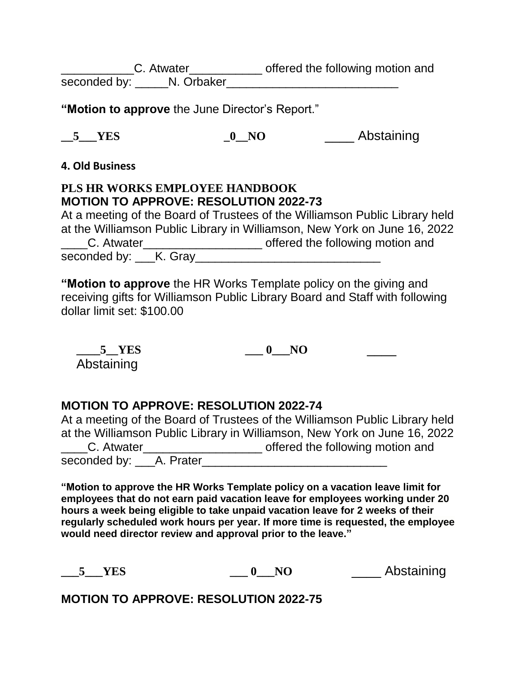Latter C. Atwater C. Atwater C. Atwater C. Atwater C. Atwater C. Atwater C. Atwater C. Atwater C. At a strateg seconded by: \_\_\_\_\_N. Orbaker\_\_\_\_\_\_\_\_\_\_\_\_\_\_\_\_\_\_\_\_\_\_\_\_\_\_

**"Motion to approve** the June Director's Report."

**\_\_5\_\_\_YES \_0\_\_NO** \_\_\_\_ Abstaining

**4. Old Business**

## **PLS HR WORKS EMPLOYEE HANDBOOK MOTION TO APPROVE: RESOLUTION 2022-73**

At a meeting of the Board of Trustees of the Williamson Public Library held at the Williamson Public Library in Williamson, New York on June 16, 2022 Latter C. Atwater Latter and C. Atwater Latter Latter Latter Latter Latter and G. Atwater Latter Latter and seconded by: K. Gray

**"Motion to approve** the HR Works Template policy on the giving and receiving gifts for Williamson Public Library Board and Staff with following dollar limit set: \$100.00

**\_\_\_\_5\_\_YES \_\_\_ 0\_\_\_NO** \_\_\_\_ Abstaining

## **MOTION TO APPROVE: RESOLUTION 2022-74**

At a meeting of the Board of Trustees of the Williamson Public Library held at the Williamson Public Library in Williamson, New York on June 16, 2022 Latter C. Atwater Latter and C. Atwater Latter Latter Latter Latter Latter Latter Street in Archives and seconded by: \_\_\_A. Prater\_\_\_\_\_\_\_\_\_\_\_\_\_\_\_\_\_\_\_\_\_\_\_\_\_\_\_\_

**"Motion to approve the HR Works Template policy on a vacation leave limit for employees that do not earn paid vacation leave for employees working under 20 hours a week being eligible to take unpaid vacation leave for 2 weeks of their regularly scheduled work hours per year. If more time is requested, the employee would need director review and approval prior to the leave."**

| VFC.<br>- MAN | N <sub>O</sub> | Abstaining |
|---------------|----------------|------------|
|---------------|----------------|------------|

**MOTION TO APPROVE: RESOLUTION 2022-75**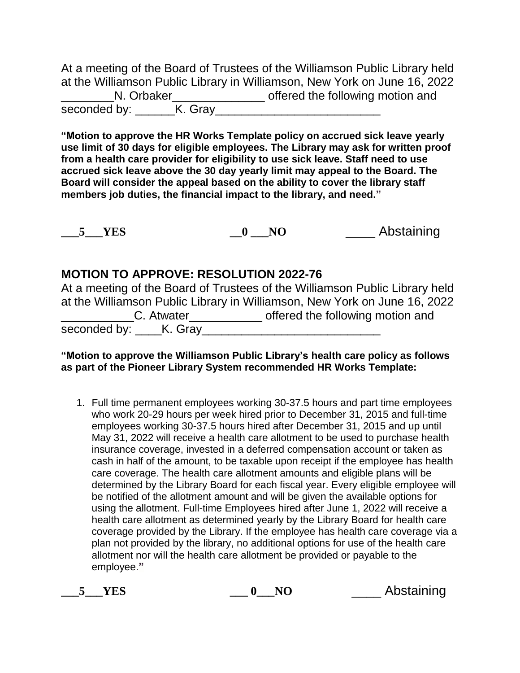At a meeting of the Board of Trustees of the Williamson Public Library held at the Williamson Public Library in Williamson, New York on June 16, 2022 N. Orbaker\_\_\_\_\_\_\_\_\_\_\_\_\_\_\_\_\_\_ offered the following motion and seconded by: \_\_\_\_\_\_K. Gray\_\_\_\_\_\_\_\_\_\_\_\_\_\_\_\_\_\_\_\_\_\_\_\_\_

**"Motion to approve the HR Works Template policy on accrued sick leave yearly use limit of 30 days for eligible employees. The Library may ask for written proof from a health care provider for eligibility to use sick leave. Staff need to use accrued sick leave above the 30 day yearly limit may appeal to the Board. The Board will consider the appeal based on the ability to cover the library staff members job duties, the financial impact to the library, and need."**

|  | N <sub>O</sub> | Abstaining |
|--|----------------|------------|
|--|----------------|------------|

### **MOTION TO APPROVE: RESOLUTION 2022-76**

|                      | At a meeting of the Board of Trustees of the Williamson Public Library held |
|----------------------|-----------------------------------------------------------------------------|
|                      | at the Williamson Public Library in Williamson, New York on June 16, 2022   |
| C. Atwater           | offered the following motion and                                            |
| seconded by: K. Gray |                                                                             |

#### **"Motion to approve the Williamson Public Library's health care policy as follows as part of the Pioneer Library System recommended HR Works Template:**

1. Full time permanent employees working 30-37.5 hours and part time employees who work 20-29 hours per week hired prior to December 31, 2015 and full-time employees working 30-37.5 hours hired after December 31, 2015 and up until May 31, 2022 will receive a health care allotment to be used to purchase health insurance coverage, invested in a deferred compensation account or taken as cash in half of the amount, to be taxable upon receipt if the employee has health care coverage. The health care allotment amounts and eligible plans will be determined by the Library Board for each fiscal year. Every eligible employee will be notified of the allotment amount and will be given the available options for using the allotment. Full-time Employees hired after June 1, 2022 will receive a health care allotment as determined yearly by the Library Board for health care coverage provided by the Library. If the employee has health care coverage via a plan not provided by the library, no additional options for use of the health care allotment nor will the health care allotment be provided or payable to the employee.**"**

**\_\_\_5\_\_\_YES \_\_\_ 0\_\_\_NO** \_\_\_\_ Abstaining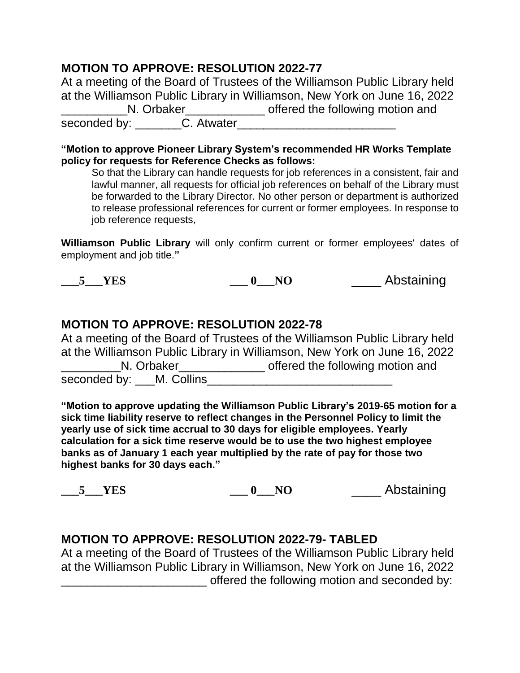## **MOTION TO APPROVE: RESOLUTION 2022-77**

At a meeting of the Board of Trustees of the Williamson Public Library held at the Williamson Public Library in Williamson, New York on June 16, 2022 \_\_\_\_\_\_\_\_\_\_N. Orbaker\_\_\_\_\_\_\_\_\_\_\_\_ offered the following motion and seconded by: \_\_\_\_\_\_\_C. Atwater\_\_\_\_\_\_\_\_\_\_\_\_\_\_\_\_\_\_\_\_\_\_\_\_

**"Motion to approve Pioneer Library System's recommended HR Works Template policy for requests for Reference Checks as follows:** 

So that the Library can handle requests for job references in a consistent, fair and lawful manner, all requests for official job references on behalf of the Library must be forwarded to the Library Director. No other person or department is authorized to release professional references for current or former employees. In response to iob reference requests,

**Williamson Public Library** will only confirm current or former employees' dates of employment and job title.**"**

**\_\_\_5\_\_\_YES \_\_\_ 0\_\_\_NO** \_\_\_\_ Abstaining

### **MOTION TO APPROVE: RESOLUTION 2022-78**

At a meeting of the Board of Trustees of the Williamson Public Library held at the Williamson Public Library in Williamson, New York on June 16, 2022 **N.** Orbaker\_\_\_\_\_\_\_\_\_\_\_\_\_\_\_\_\_\_\_ offered the following motion and seconded by: \_\_\_M. Collins

**"Motion to approve updating the Williamson Public Library's 2019-65 motion for a sick time liability reserve to reflect changes in the Personnel Policy to limit the yearly use of sick time accrual to 30 days for eligible employees. Yearly calculation for a sick time reserve would be to use the two highest employee banks as of January 1 each year multiplied by the rate of pay for those two highest banks for 30 days each."** 

**\_\_\_5\_\_\_YES \_\_\_ 0\_\_\_NO** \_\_\_\_ Abstaining

### **MOTION TO APPROVE: RESOLUTION 2022-79- TABLED**

At a meeting of the Board of Trustees of the Williamson Public Library held at the Williamson Public Library in Williamson, New York on June 16, 2022 offered the following motion and seconded by: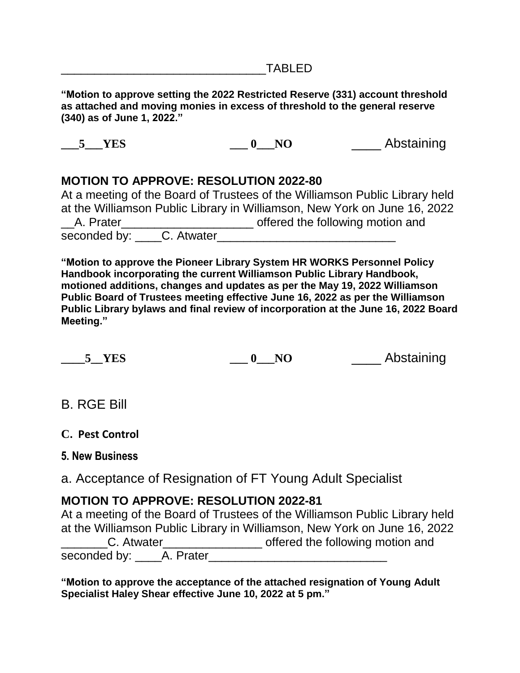**"Motion to approve setting the 2022 Restricted Reserve (331) account threshold as attached and moving monies in excess of threshold to the general reserve (340) as of June 1, 2022."** 

**\_\_\_5\_\_\_YES \_\_\_ 0\_\_\_NO** \_\_\_\_ Abstaining

## **MOTION TO APPROVE: RESOLUTION 2022-80**

|                         | At a meeting of the Board of Trustees of the Williamson Public Library held |
|-------------------------|-----------------------------------------------------------------------------|
|                         | at the Williamson Public Library in Williamson, New York on June 16, 2022   |
| A. Prater               | offered the following motion and                                            |
| seconded by: C. Atwater |                                                                             |

**"Motion to approve the Pioneer Library System HR WORKS Personnel Policy Handbook incorporating the current Williamson Public Library Handbook, motioned additions, changes and updates as per the May 19, 2022 Williamson Public Board of Trustees meeting effective June 16, 2022 as per the Williamson Public Library bylaws and final review of incorporation at the June 16, 2022 Board Meeting."** 

**\_\_\_\_5\_\_YES \_\_\_ 0\_\_\_NO** \_\_\_\_ Abstaining

B. RGE Bill

**C. Pest Control**

**5. New Business**

a. Acceptance of Resignation of FT Young Adult Specialist

## **MOTION TO APPROVE: RESOLUTION 2022-81**

At a meeting of the Board of Trustees of the Williamson Public Library held at the Williamson Public Library in Williamson, New York on June 16, 2022 LC. Atwater\_\_\_\_\_\_\_\_\_\_\_\_\_\_\_\_\_\_\_\_ offered the following motion and seconded by: A. Prater

**"Motion to approve the acceptance of the attached resignation of Young Adult Specialist Haley Shear effective June 10, 2022 at 5 pm."**